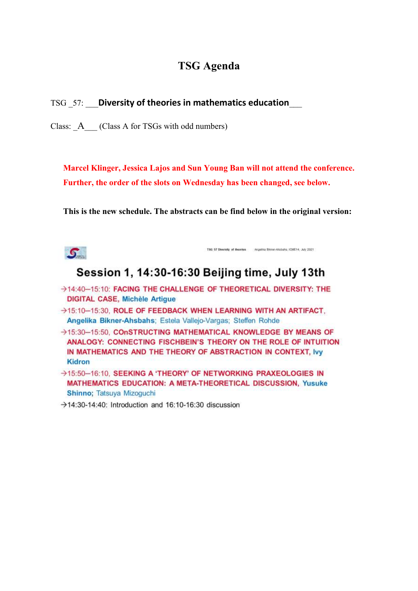## **TSG Agenda**

TSG \_57: \_\_\_**Diversity of theories in mathematics education**\_\_\_

Class: A (Class A for TSGs with odd numbers)

**Marcel Klinger, Jessica Lajos and Sun Young Ban will not attend the conference. Further, the order of the slots on Wednesday has been changed, see below.**

**This is the new schedule. The abstracts can be find below in the original version:**



TSG 57 Diversity of theories Angelis Binner-Absbahs, ICNE14, July 2021

# Session 1, 14:30-16:30 Beijing time, July 13th

- >14:40-15:10: FACING THE CHALLENGE OF THEORETICAL DIVERSITY: THE **DIGITAL CASE, Michèle Artigue**
- >15:10-15:30, ROLE OF FEEDBACK WHEN LEARNING WITH AN ARTIFACT, Angelika Bikner-Ahsbahs; Estela Vallejo-Vargas; Steffen Rohde
- >15:30-15:50, COnSTRUCTING MATHEMATICAL KNOWLEDGE BY MEANS OF ANALOGY: CONNECTING FISCHBEIN'S THEORY ON THE ROLE OF INTUITION IN MATHEMATICS AND THE THEORY OF ABSTRACTION IN CONTEXT, Ivy **Kidron**
- >15:50-16:10. SEEKING A 'THEORY' OF NETWORKING PRAXEOLOGIES IN MATHEMATICS EDUCATION: A META-THEORETICAL DISCUSSION, Yusuke Shinno; Tatsuya Mizoguchi
- $\rightarrow$  14:30-14:40: Introduction and 16:10-16:30 discussion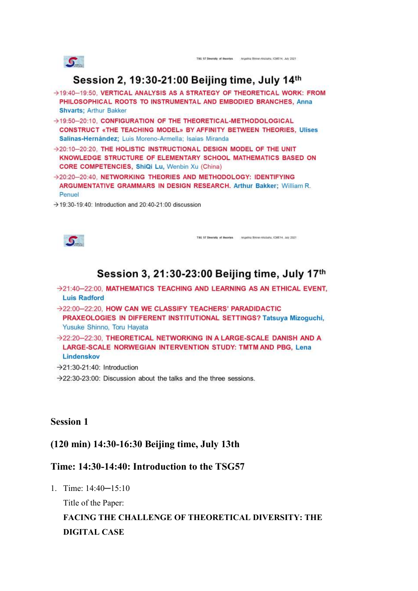

TSG 57 Diversity of theories Angelis Bioner-Ababaha, ICME14, July 2021

# Session 2, 19:30-21:00 Beijing time, July 14th

- >19:40-19:50. VERTICAL ANALYSIS AS A STRATEGY OF THEORETICAL WORK: FROM PHILOSOPHICAL ROOTS TO INSTRUMENTAL AND EMBODIED BRANCHES, Anna **Shvarts: Arthur Bakker**
- →19:50-20:10. CONFIGURATION OF THE THEORETICAL-METHODOLOGICAL CONSTRUCT «THE TEACHING MODEL» BY AFFINITY BETWEEN THEORIES, Ulises Salinas-Hernández; Luis Moreno-Armella; Isaias Miranda
- >20:10-20:20, THE HOLISTIC INSTRUCTIONAL DESIGN MODEL OF THE UNIT KNOWLEDGE STRUCTURE OF ELEMENTARY SCHOOL MATHEMATICS BASED ON CORE COMPETENCIES, ShiQi Lu, Wenbin Xu (China)
- >20:20-20:40, NETWORKING THEORIES AND METHODOLOGY: IDENTIFYING ARGUMENTATIVE GRAMMARS IN DESIGN RESEARCH. Arthur Bakker; William R. Penuel
- $\rightarrow$  19:30-19:40: Introduction and 20:40-21:00 discussion



TSG 57 Diversity of theories Angelis Bioner-Ababaha, ICNE14, July 2021

# Session 3, 21:30-23:00 Beijing time, July 17th

- >21:40-22:00, MATHEMATICS TEACHING AND LEARNING AS AN ETHICAL EVENT. **Luis Radford**
- >22:00-22:20, HOW CAN WE CLASSIFY TEACHERS' PARADIDACTIC PRAXEOLOGIES IN DIFFERENT INSTITUTIONAL SETTINGS? Tatsuya Mizoguchi, Yusuke Shinno, Toru Hayata
- >22:20-22:30. THEORETICAL NETWORKING IN A LARGE-SCALE DANISH AND A LARGE-SCALE NORWEGIAN INTERVENTION STUDY: TMTM AND PBG. Lena Lindenskov
- $\rightarrow$  21:30-21:40: Introduction
- $\rightarrow$  22:30-23:00: Discussion about the talks and the three sessions.

## **Session 1**

## **(120 min) 14:30-16:30 Beijing time, July 13th**

## **Time: 14:30-14:40: Introduction to the TSG57**

1. Time: 14:40─15:10

Title of the Paper:

# **FACING THE CHALLENGE OF THEORETICAL DIVERSITY: THE DIGITAL CASE**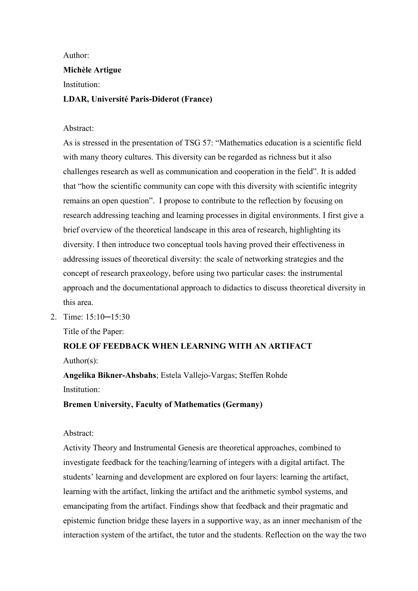Author:

## **Michèle Artigue**

Institution:

#### **LDAR, Université Paris-Diderot (France)**

#### Abstract:

As is stressed in the presentation of TSG 57: "Mathematics education is a scientific field with many theory cultures. This diversity can be regarded as richness but it also challenges research as well as communication and cooperation in the field". It is added that "how the scientific community can cope with this diversity with scientific integrity remains an open question". I propose to contribute to the reflection by focusing on research addressing teaching and learning processes in digital environments. I first give a brief overview of the theoretical landscape in this area of research, highlighting its diversity. I then introduce two conceptual tools having proved their effectiveness in addressing issues of theoretical diversity: the scale of networking strategies and the concept of research praxeology, before using two particular cases: the instrumental approach and the documentational approach to didactics to discuss theoretical diversity in this area.

2. Time: 15:10─15:30

Title of the Paper:

## **ROLE OF FEEDBACK WHEN LEARNING WITH AN ARTIFACT** Author(s):

**Angelika Bikner-Ahsbahs**; Estela Vallejo-Vargas; Steffen Rohde Institution:

**Bremen University, Faculty of Mathematics (Germany)**

#### Abstract:

Activity Theory and Instrumental Genesis are theoretical approaches, combined to investigate feedback for the teaching/learning of integers with a digital artifact. The students' learning and development are explored on four layers: learning the artifact, learning with the artifact, linking the artifact and the arithmetic symbol systems, and emancipating from the artifact. Findings show that feedback and their pragmatic and epistemic function bridge these layers in a supportive way, as an inner mechanism of the interaction system of the artifact, the tutor and the students. Reflection on the way the two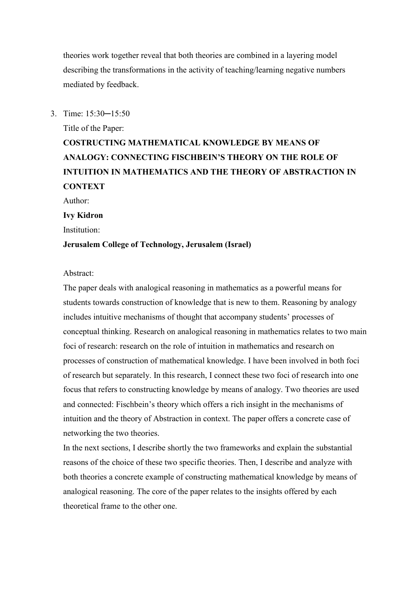theories work together reveal that both theories are combined in a layering model describing the transformations in the activity of teaching/learning negative numbers mediated by feedback.

3. Time: 15:30─15:50

Title of the Paper:

# **COSTRUCTING MATHEMATICAL KNOWLEDGE BY MEANS OF ANALOGY: CONNECTING FISCHBEIN'S THEORY ON THE ROLE OF INTUITION IN MATHEMATICS AND THE THEORY OF ABSTRACTION IN CONTEXT**

Author:

#### **Ivy Kidron**

Institution:

#### **Jerusalem College of Technology, Jerusalem (Israel)**

#### Abstract:

The paper deals with analogical reasoning in mathematics as a powerful means for students towards construction of knowledge that is new to them. Reasoning by analogy includes intuitive mechanisms of thought that accompany students' processes of conceptual thinking. Research on analogical reasoning in mathematics relates to two main foci of research: research on the role of intuition in mathematics and research on processes of construction of mathematical knowledge. I have been involved in both foci of research but separately. In this research, I connect these two foci of research into one focus that refers to constructing knowledge by means of analogy. Two theories are used and connected: Fischbein's theory which offers a rich insight in the mechanisms of intuition and the theory of Abstraction in context. The paper offers a concrete case of networking the two theories.

In the next sections, I describe shortly the two frameworks and explain the substantial reasons of the choice of these two specific theories. Then, I describe and analyze with both theories a concrete example of constructing mathematical knowledge by means of analogical reasoning. The core of the paper relates to the insights offered by each theoretical frame to the other one.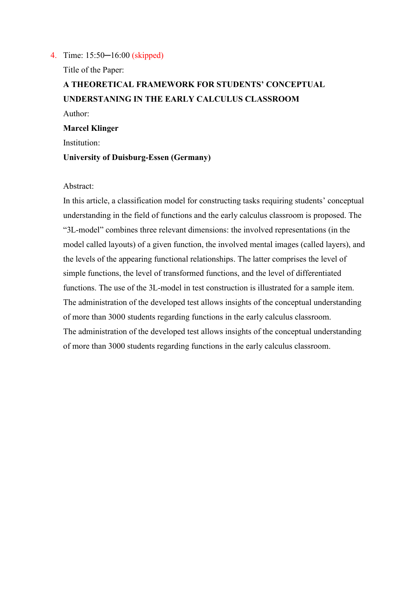4. Time: 15:50─16:00 (skipped)

Title of the Paper:

**A THEORETICAL FRAMEWORK FOR STUDENTS' CONCEPTUAL UNDERSTANING IN THE EARLY CALCULUS CLASSROOM** Author: **Marcel Klinger** Institution: **University of Duisburg-Essen (Germany)**

#### Abstract:

In this article, a classification model for constructing tasks requiring students' conceptual understanding in the field of functions and the early calculus classroom is proposed. The "3L-model" combines three relevant dimensions: the involved representations (in the model called layouts) of a given function, the involved mental images (called layers), and the levels of the appearing functional relationships. The latter comprises the level of simple functions, the level of transformed functions, and the level of differentiated functions. The use of the 3L-model in test construction is illustrated for a sample item. The administration of the developed test allows insights of the conceptual understanding of more than 3000 students regarding functions in the early calculus classroom. The administration of the developed test allows insights of the conceptual understanding of more than 3000 students regarding functions in the early calculus classroom.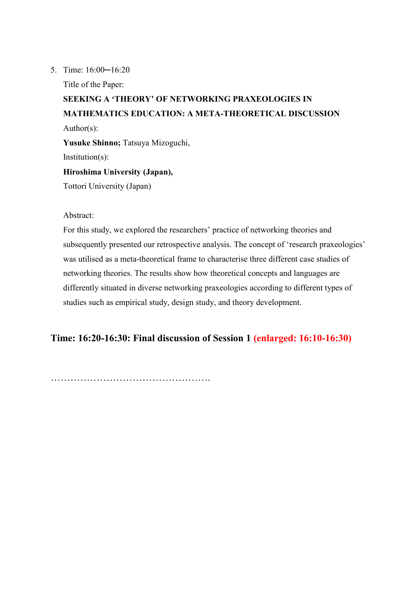#### 5. Time: 16:00─16:20

Title of the Paper:

# **SEEKING A 'THEORY' OF NETWORKING PRAXEOLOGIES IN MATHEMATICS EDUCATION: A META-THEORETICAL DISCUSSION** Author(s): **Yusuke Shinno;** Tatsuya Mizoguchi, Institution(s): **Hiroshima University (Japan),**  Tottori University (Japan)

Abstract:

For this study, we explored the researchers' practice of networking theories and subsequently presented our retrospective analysis. The concept of 'research praxeologies' was utilised as a meta-theoretical frame to characterise three different case studies of networking theories. The results show how theoretical concepts and languages are differently situated in diverse networking praxeologies according to different types of studies such as empirical study, design study, and theory development.

**Time: 16:20-16:30: Final discussion of Session 1 (enlarged: 16:10-16:30)**

………………………………………………………………………………………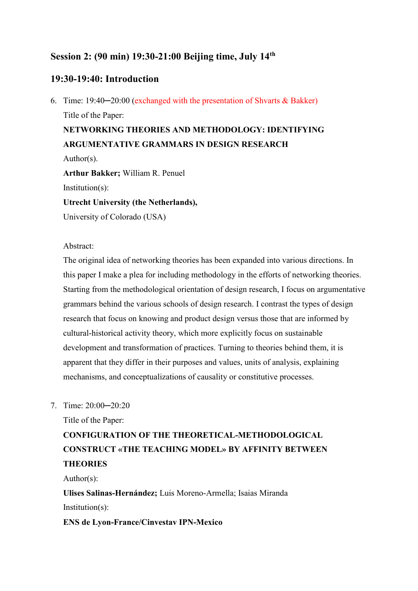## **Session 2: (90 min) 19:30-21:00 Beijing time, July 14th**

### **19:30-19:40: Introduction**

6. Time: 19:40─20:00 (exchanged with the presentation of Shvarts & Bakker) Title of the Paper: **NETWORKING THEORIES AND METHODOLOGY: IDENTIFYING ARGUMENTATIVE GRAMMARS IN DESIGN RESEARCH** Author(s). **Arthur Bakker;** William R. Penuel Institution(s): **Utrecht University (the Netherlands),**  University of Colorado (USA)

#### Abstract:

The original idea of networking theories has been expanded into various directions. In this paper I make a plea for including methodology in the efforts of networking theories. Starting from the methodological orientation of design research, I focus on argumentative grammars behind the various schools of design research. I contrast the types of design research that focus on knowing and product design versus those that are informed by cultural-historical activity theory, which more explicitly focus on sustainable development and transformation of practices. Turning to theories behind them, it is apparent that they differ in their purposes and values, units of analysis, explaining mechanisms, and conceptualizations of causality or constitutive processes.

7. Time: 20:00─20:20

Title of the Paper:

# **CONFIGURATION OF THE THEORETICAL-METHODOLOGICAL CONSTRUCT «THE TEACHING MODEL» BY AFFINITY BETWEEN THEORIES**

Author(s):

**Ulises Salinas-Hernández;** Luis Moreno-Armella; Isaias Miranda Institution(s):

**ENS de Lyon-France/Cinvestav IPN-Mexico**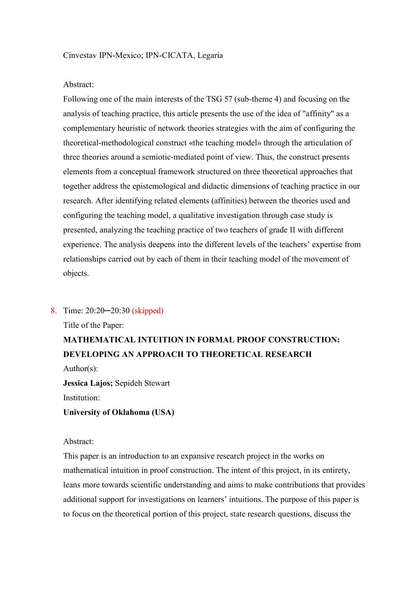#### Abstract:

Following one of the main interests of the TSG 57 (sub-theme 4) and focusing on the analysis of teaching practice, this article presents the use of the idea of "affinity" as a complementary heuristic of network theories strategies with the aim of configuring the theoretical-methodological construct «the teaching model» through the articulation of three theories around a semiotic-mediated point of view. Thus, the construct presents elements from a conceptual framework structured on three theoretical approaches that together address the epistemological and didactic dimensions of teaching practice in our research. After identifying related elements (affinities) between the theories used and configuring the teaching model, a qualitative investigation through case study is presented, analyzing the teaching practice of two teachers of grade 11 with different experience. The analysis deepens into the different levels of the teachers' expertise from relationships carried out by each of them in their teaching model of the movement of objects.

8. Time: 20:20─20:30 (skipped)

Title of the Paper:

## **MATHEMATICAL INTUITION IN FORMAL PROOF CONSTRUCTION: DEVELOPING AN APPROACH TO THEORETICAL RESEARCH**

Author(s):

**Jessica Lajos;** Sepideh Stewart Institution:

**University of Oklahoma (USA)**

#### Abstract:

This paper is an introduction to an expansive research project in the works on mathematical intuition in proof construction. The intent of this project, in its entirety, leans more towards scientific understanding and aims to make contributions that provides additional support for investigations on learners' intuitions. The purpose of this paper is to focus on the theoretical portion of this project, state research questions, discuss the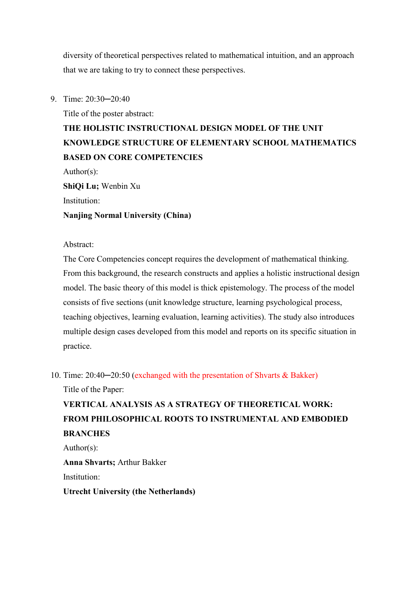diversity of theoretical perspectives related to mathematical intuition, and an approach that we are taking to try to connect these perspectives.

9. Time: 20:30-20:40

Title of the poster abstract:

# **THE HOLISTIC INSTRUCTIONAL DESIGN MODEL OF THE UNIT KNOWLEDGE STRUCTURE OF ELEMENTARY SCHOOL MATHEMATICS BASED ON CORE COMPETENCIES**

Author(s):

**ShiQi Lu;** Wenbin Xu

Institution:

#### **Nanjing Normal University (China)**

Abstract:

The Core Competencies concept requires the development of mathematical thinking. From this background, the research constructs and applies a holistic instructional design model. The basic theory of this model is thick epistemology. The process of the model consists of five sections (unit knowledge structure, learning psychological process, teaching objectives, learning evaluation, learning activities). The study also introduces multiple design cases developed from this model and reports on its specific situation in practice.

10. Time: 20:40-20:50 (exchanged with the presentation of Shvarts & Bakker) Title of the Paper:

# **VERTICAL ANALYSIS AS A STRATEGY OF THEORETICAL WORK: FROM PHILOSOPHICAL ROOTS TO INSTRUMENTAL AND EMBODIED BRANCHES**

Author(s):

**Anna Shvarts;** Arthur Bakker

Institution:

**Utrecht University (the Netherlands)**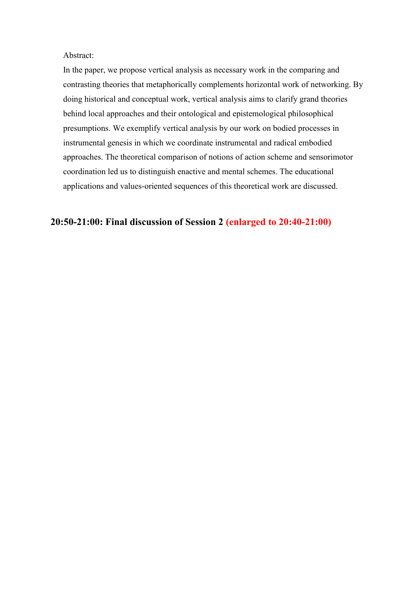#### Abstract:

In the paper, we propose vertical analysis as necessary work in the comparing and contrasting theories that metaphorically complements horizontal work of networking. By doing historical and conceptual work, vertical analysis aims to clarify grand theories behind local approaches and their ontological and epistemological philosophical presumptions. We exemplify vertical analysis by our work on bodied processes in instrumental genesis in which we coordinate instrumental and radical embodied approaches. The theoretical comparison of notions of action scheme and sensorimotor coordination led us to distinguish enactive and mental schemes. The educational applications and values-oriented sequences of this theoretical work are discussed.

### **20:50-21:00: Final discussion of Session 2 (enlarged to 20:40-21:00)**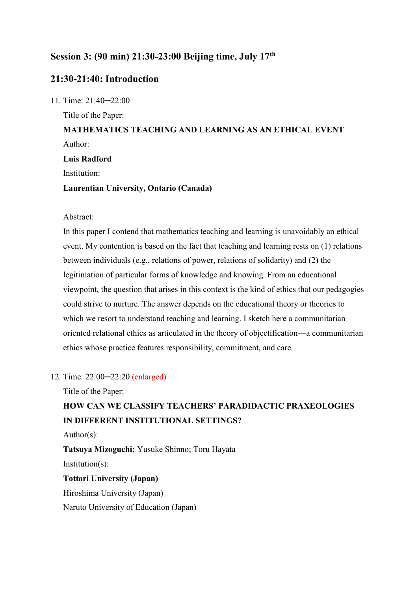### **Session 3: (90 min) 21:30-23:00 Beijing time, July 17th**

### **21:30-21:40: Introduction**

11. Time: 21:40─22:00 Title of the Paper: **MATHEMATICS TEACHING AND LEARNING AS AN ETHICAL EVENT** Author: **Luis Radford**  Institution: **Laurentian University, Ontario (Canada)**

#### Abstract:

In this paper I contend that mathematics teaching and learning is unavoidably an ethical event. My contention is based on the fact that teaching and learning rests on (1) relations between individuals (e.g., relations of power, relations of solidarity) and (2) the legitimation of particular forms of knowledge and knowing. From an educational viewpoint, the question that arises in this context is the kind of ethics that our pedagogies could strive to nurture. The answer depends on the educational theory or theories to which we resort to understand teaching and learning. I sketch here a communitarian oriented relational ethics as articulated in the theory of objectification—a communitarian ethics whose practice features responsibility, commitment, and care.

#### 12. Time: 22:00─22:20 (enlarged)

Title of the Paper:

## **HOW CAN WE CLASSIFY TEACHERS' PARADIDACTIC PRAXEOLOGIES IN DIFFERENT INSTITUTIONAL SETTINGS?**

Author(s):

**Tatsuya Mizoguchi;** Yusuke Shinno; Toru Hayata Institution(s): **Tottori University (Japan)** Hiroshima University (Japan)

Naruto University of Education (Japan)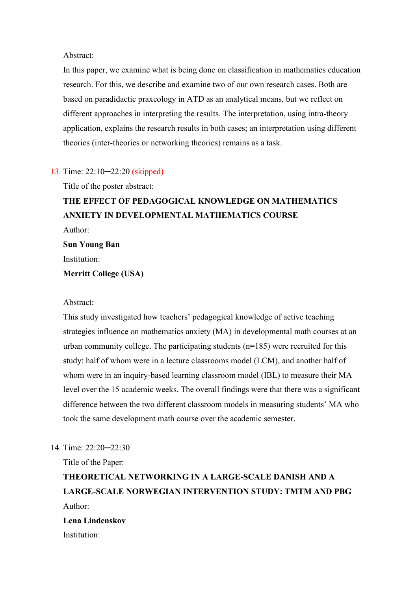Abstract:

In this paper, we examine what is being done on classification in mathematics education research. For this, we describe and examine two of our own research cases. Both are based on paradidactic praxeology in ATD as an analytical means, but we reflect on different approaches in interpreting the results. The interpretation, using intra-theory application, explains the research results in both cases; an interpretation using different theories (inter-theories or networking theories) remains as a task.

#### 13. Time: 22:10─22:20 (skipped)

Title of the poster abstract:

## **THE EFFECT OF PEDAGOGICAL KNOWLEDGE ON MATHEMATICS ANXIETY IN DEVELOPMENTAL MATHEMATICS COURSE** Author:

**Sun Young Ban** Institution:

#### **Merritt College (USA)**

#### Abstract:

This study investigated how teachers' pedagogical knowledge of active teaching strategies influence on mathematics anxiety (MA) in developmental math courses at an urban community college. The participating students  $(n=185)$  were recruited for this study: half of whom were in a lecture classrooms model (LCM), and another half of whom were in an inquiry-based learning classroom model (IBL) to measure their MA level over the 15 academic weeks. The overall findings were that there was a significant difference between the two different classroom models in measuring students' MA who took the same development math course over the academic semester.

#### 14. Time: 22:20─22:30

Title of the Paper:

**THEORETICAL NETWORKING IN A LARGE-SCALE DANISH AND A LARGE-SCALE NORWEGIAN INTERVENTION STUDY: TMTM AND PBG** Author: **Lena Lindenskov**

Institution: